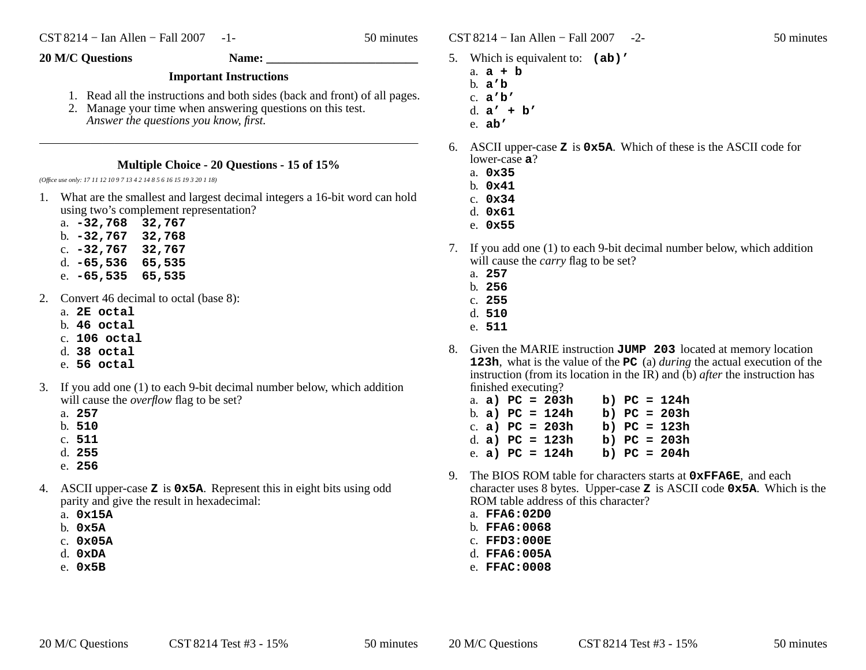$\text{CST } 8214 - \text{I}$ an Allen – Fall 2007 -2- 50 minutes

- 5. Which is equivalent to: **(ab)'**
	- a. **a+b**
	- b. **<sup>a</sup>'b**
	- c. **<sup>a</sup>'b'**
	- d. **<sup>a</sup>' + b'**
	- e. **ab'**
- 6. ASCII upper-case **<sup>Z</sup>** is **0x5A**. Which of these is the ASCII code for lower-case **<sup>a</sup>**?
	- a. **0x35**
	- b. **0x41**
	- c. **0x34**
	- d. **0x61**
	- e. **0x55**
- 7. If you add one (1) to each 9-bit decimal number below, which additionwill cause the *carry* flag to be set?
	- a. **257**
	- b. **256**
	- c. **255**
	- d. **510**
	- e. **511**
- 8. Given the MARIE instruction  $JUMP$  203 located at memory location **123h**, what is the value of the **PC** (a) *during* the actual execution of the instruction (from its location in the IR) and (b) *after* the instruction has finished executing?
	- a. **a) PC = 203h b) PC = 124h** b. **a) PC = 124h b) PC = 203h** c. **a) PC = 203h b) PC = 123h** d. **a) PC = 123h b) PC = 203h** e. **a) PC = 124h b) PC = 204h**
- 9. The BIOS ROM table for characters starts at **0xFFA6E**, and each character uses 8 bytes. Upper-case **<sup>Z</sup>** is ASCII code **0x5A**. Which is the ROM table address of this character?
	- a. **FFA6:02D0**
	- b. **FFA6:0068**
	- c. **FFD3:000E**
	- d. **FFA6:005A**
	- e. **FFAC:0008**

## **Important Instructions**

- 1. Read all the instructions and both sides (back and front) of all pages.
- 2. Manage your time when answering questions on this test. *Answer the questions you know, first.*

## **Multiple Choice - 20 Questions - 15 of 15%**

*(Office use only: 17 11 12 10 9 7 13 4 2 14 8 5 6 16 15 19 3 20 1 18)*

- 1. What are the smallest and largest decimal integers a 16-bit word can holdusing two's complement representation?
	- a. **-32,768 32,767**
	- b. **-32,767 32,768**
	- c. **-32,767 32,767**
	- d. **-65,536 65,535**
	- e. **-65,535 65,535**
- 2. Convert 46 decimal to octal (base 8):
	- a. **2E octal**
	- b. **46 octal**
	- c. **106 octal**
	- d. **38 octal**
	- e. **56 octal**
- 3. If you add one (1) to each 9-bit decimal number below, which additionwill cause the *overflow* flag to be set?
	- a. **257**
	- b. **510**
	- c. **511**
	- d. **255**
	- e. **256**
- 4. ASCII upper-case **<sup>Z</sup>** is **0x5A**. Represent this in eight bits using odd parity and give the result in hexadecimal:
	- a. **0x15A**
	- b. **0x5A**
	- c. **0x05A**
	- d. **0xDA**
	- e. **0x5B**